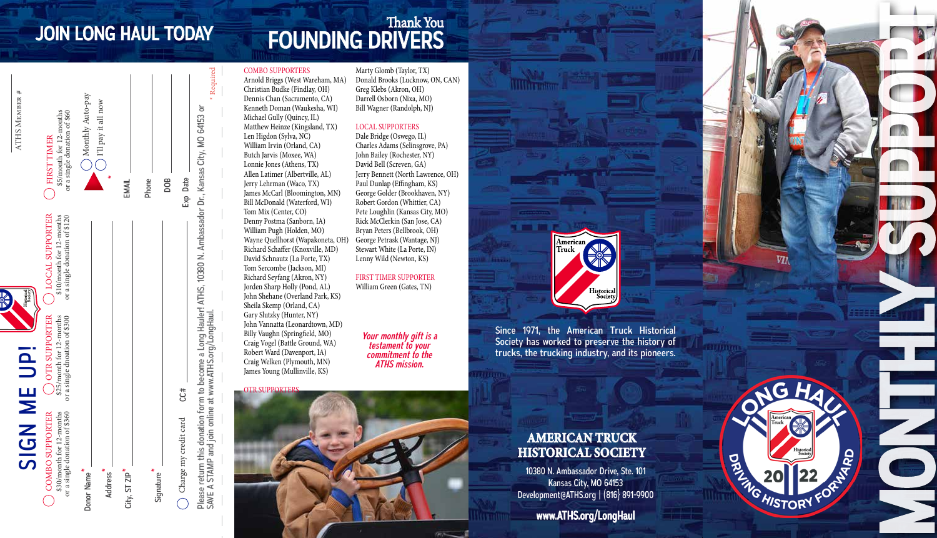EMAIL

\*

Monthly Auto-pay I'll pay it all now

Monthly Auto-pay  $\Gamma$ ll pay it all now

Phone

DOB

Exp Date

Charge my credit card  $Ct$ #  $C$  Exp Date

CC#

Charge my credit card

 $\bigcap$ 

Please return this donation form to become a Long Hauler! ATHS, 10380 N. Ambassador Dr., Kansas City, MO 64153 or<br>SAVE A STAMP and join online at www.ATHS.org/LongHaul.

Please return this donation form to become a Long Hauler! ATHS, 10380 N. Ambassador Dr., Kansas City, MO 64153 or<br>SAVE A STAMP and join online at www.ATHS.org/LongHaul.

SIGN ME UP!

**NDI** 

 $\overline{\mathbf{z}}$ 

COMBO SUPPORTER \$30/month for 12-months or a single donation of \$360

**COMBO SUPPORTER** 

Donor Name

\*

Address \*

City, ST ZIP<sup>\*</sup>

Signature \*

OTR SUPPORTER \$25/month for 12-months or a single dnoation of \$300

months<br>of \$300

:5/month for 12-r<br>single dnoation o

 $\sigma$ 

th for 12-months<br>donation of \$360

\$30/month for<br>or a single don

LOCAL SUPPORTER \$10/month for 12-months or a single donation of \$120

SUPPORTER nonth for 12-months<br>gle donation of \$120

FIRST TIMER \$5/month for 12-months or a single donation of \$60

FIRST TIMER

5/month for 12-months<br>a single donation of \$60

ATHS Member #

ATHS MEMBE

#### JOIN LONG HAUL TODAY FOUNDING DRIVERS Thank You

#### COMBO SUPPORTERS

Required

Arnold Briggs (West Wareham, MA) Christian Budke (Findlay, OH) Dennis Chan (Sacramento, CA) Kenneth Doman (Waukesha, WI) Michael Gully (Quincy, IL) Matthew Heinze (Kingsland, TX) Len Higdon (Sylva, NC) William Irvin (Orland, CA) Butch Jarvis (Moxee, WA) Lonnie Jones (Athens, TX) Allen Latimer (Albertville, AL) Jerry Lehrman (Waco, TX) James McCarl (Bloomington, MN) Bill McDonald (Waterford, WI) Tom Mix (Center, CO) Denny Postma (Sanborn, IA) William Pugh (Holden, MO) Wayne Quellhorst (Wapakoneta, OH) Richard Schaffer (Knoxville, MD) David Schnautz (La Porte, TX) Tom Sercombe (Jackson, MI) Richard Seyfang (Akron, NY) Jorden Sharp Holly (Pond, AL) John Shehane (Overland Park, KS) Sheila Skemp (Orland, CA) Gary Slutzky (Hunter, NY) John Vannatta (Leonardtown, MD) Billy Vaughn (Springfield, MO)

Craig Vogel (Battle Ground, WA) Robert Ward (Davenport, IA) Craig Welken (Plymouth, MN) James Young (Mullinville, KS)

Marty Glomb (Taylor, TX) Donald Brooks (Lucknow, ON, CAN) Greg Klebs (Akron, OH) Darrell Osborn (Nixa, MO) Bill Wagner (Randolph, NJ)

#### LOCAL SUPPORTERS

Dale Bridge (Oswego, IL) Charles Adams (Selinsgrove, PA) John Bailey (Rochester, NY) David Bell (Screven, GA) Jerry Bennett (North Lawrence, OH) Paul Dunlap (Effingham, KS) George Golder (Brookhaven, NY) Robert Gordon (Whittier, CA) Pete Loughlin (Kansas City, MO) Rick McClerkin (San Jose, CA) Bryan Peters (Bellbrook, OH) George Petrask (Wantage, NJ) Stewart White (La Porte, IN) Lenny Wild (Newton, KS)

FIRST TIMER SUPPORTER William Green (Gates, TN)

> *Your monthly gift is a testament to your commitment to the ATHS mission.*

**OTR SUPPORTER** 

## Historical<br>Society

American

Since 1971, the American Truck Historical Society has worked to preserve the history of trucks, the trucking industry, and its pioneers.

#### **AMERICAN TRUCK HISTORICAL SOCIETY**

10380 N. Ambassador Drive, Ste. 101 Kansas City, MO 64153 Development@ATHS.org | (816} 891-9900

www.ATHS.org/LongHaul

MONTHLY SUPPORT G **PORTIFICATION HISTORY**